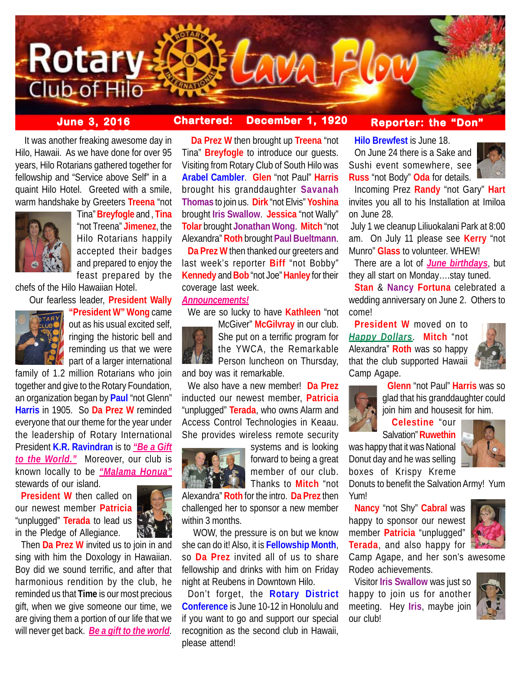

# **June 3, 2016 Chartered: December 1, 1920**

## **Reporter: the "Don"**

**between** 2015<br> **It was another freaking awesome day in** Hilo, Hawaii. As we have done for over 95 years, Hilo Rotarians gathered together for fellowship and "Service above Self" in a quaint Hilo Hotel. Greeted with a smile, warm handshake by Greeters **Treena** "not



Tina" **Breyfogle** and , **Tina** "not Treena" **Jimenez**, the Hilo Rotarians happily accepted their badges and prepared to enjoy the feast prepared by the

chefs of the Hilo Hawaiian Hotel.

Our fearless leader, **President Wally**



**"President W" Wong** came out as his usual excited self, ringing the historic bell and reminding us that we were part of a larger international

family of 1.2 million Rotarians who join together and give to the Rotary Foundation, an organization began by **Paul** "not Glenn" **Harris** in 1905. So **Da Prez W** reminded everyone that our theme for the year under the leadership of Rotary International President **K.R. Ravindran** is to *"Be a Gift to the World."* Moreover, our club is known locally to be *"Malama Honua"* stewards of our island.

**President W** then called on our newest member **Patricia** "unplugged" **Terada** to lead us in the Pledge of Allegiance.



Then **Da Prez W** invited us to join in and sing with him the Doxology in Hawaiian. Boy did we sound terrific, and after that harmonious rendition by the club, he reminded us that **Time** is our most precious gift, when we give someone our time, we are giving them a portion of our life that we will never get back. *Be a gift to the world*.

 **Da Prez W** then brought up **Treena** "not Tina" **Breyfogle** to introduce our guests. Visiting from Rotary Club of South Hilo was **Arabel Cambler**. **Glen** "not Paul" **Harris** brought his granddaughter **Savanah Thomas** to join us. **Dirk** "not Elvis" **Yoshina** brought **Iris Swallow**. **Jessica** "not Wally" **Tolar** brought **Jonathan Wong**. **Mitch** "not Alexandra" **Roth** brought **Paul Bueltmann**.

**Da Prez W** then thanked our greeters and last week's reporter **Biff** "not Bobby" **Kennedy** and **Bob** "not Joe" **Hanley** for their coverage last week.

#### *Announcements!*

We are so lucky to have **Kathleen** "not



McGiver" **McGilvray** in our club. She put on a terrific program for the YWCA, the Remarkable Person luncheon on Thursday, and boy was it remarkable.

We also have a new member! **Da Prez** inducted our newest member, **Patricia** "unplugged" **Terada**, who owns Alarm and Access Control Technologies in Keaau. She provides wireless remote security



systems and is looking forward to being a great member of our club. Thanks to **Mitch** "not

Alexandra" **Roth** for the intro. **Da Prez** then challenged her to sponsor a new member within 3 months.

 WOW, the pressure is on but we know she can do it! Also, it is **Fellowship Month**, so **Da Prez** invited all of us to share fellowship and drinks with him on Friday night at Reubens in Downtown Hilo.

Don't forget, the **Rotary District Conference** is June 10-12 in Honolulu and if you want to go and support our special recognition as the second club in Hawaii, please attend!

**Hilo Brewfest** is June 18.

On June 24 there is a Sake and Sushi event somewhere, see **Russ** "not Body" **Oda** for details.



Incoming Prez **Randy** "not Gary" **Hart** invites you all to his Installation at Imiloa on June 28.

 July 1 we cleanup Liliuokalani Park at 8:00 am. On July 11 please see **Kerry** "not Munro" **Glass** to volunteer. WHEW!

There are a lot of *June birthdays*, but they all start on Monday….stay tuned.

**Stan** & **Nancy Fortuna** celebrated a wedding anniversary on June 2. Others to come!

**President W** moved on to *Happy Dollars*. **Mitch** "not Alexandra" **Roth** was so happy that the club supported Hawaii Camp Agape.





 **Glenn** "not Paul" **Harris** was so glad that his granddaughter could join him and housesit for him.

# **Celestine** "our

Salvation" **Ruwethin**

was happy that it was National Donut day and he was selling boxes of Krispy Kreme



Donuts to benefit the Salvation Army! Yum Yum!

**Nancy** "not Shy" **Cabral** was happy to sponsor our newest member **Patricia** "unplugged" **Terada**, and also happy for



Camp Agape, and her son's awesome Rodeo achievements.

Visitor **Iris Swallow** was just so happy to join us for another meeting. Hey **Iris**, maybe join our club!